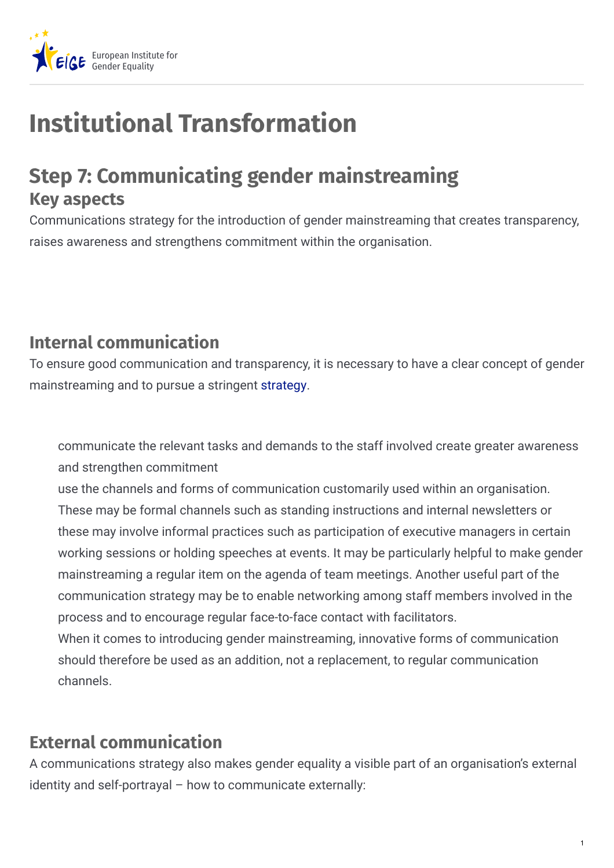

# **Institutional Transformation**

## **Step 7: Communicating gender mainstreaming Key aspects**

Communications strategy for the introduction of gender mainstreaming that creates transparency, raises awareness and strengthens commitment within the organisation.

#### **Internal communication**

To ensure good communication and transparency, it is necessary to have a clear concept of gender mainstreaming and to pursue a stringent [strategy](https://eige.europa.eu/gender-mainstreaming/tools-and-methods/gender-mainstreaming-and-institutional-transformation/gender-organizations).

communicate the relevant tasks and demands to the staff involved create greater awareness and strengthen commitment

use the channels and forms of communication customarily used within an organisation. These may be formal channels such as standing instructions and internal newsletters or these may involve informal practices such as participation of executive managers in certain working sessions or holding speeches at events. It may be particularly helpful to make gender mainstreaming a regular item on the agenda of team meetings. Another useful part of the communication strategy may be to enable networking among staff members involved in the process and to encourage regular face-to-face contact with facilitators.

When it comes to introducing gender mainstreaming, innovative forms of communication should therefore be used as an addition, not a replacement, to regular communication channels.

### **External communication**

A communications strategy also makes gender equality a visible part of an organisation's external identity and self-portrayal – how to communicate externally: